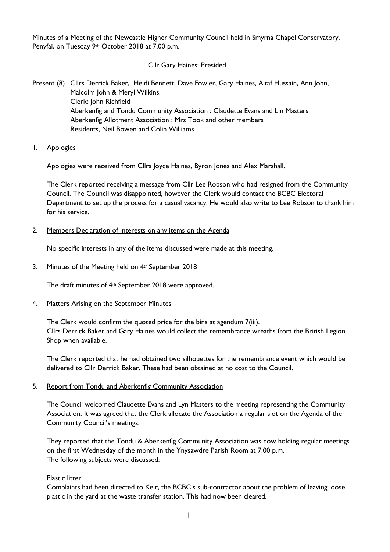Minutes of a Meeting of the Newcastle Higher Community Council held in Smyrna Chapel Conservatory, Penyfai, on Tuesday 9th October 2018 at 7.00 p.m.

Cllr Gary Haines: Presided

Present (8) Cllrs Derrick Baker, Heidi Bennett, Dave Fowler, Gary Haines, Altaf Hussain, Ann John, Malcolm John & Meryl Wilkins. Clerk: John Richfield Aberkenfig and Tondu Community Association : Claudette Evans and Lin Masters Aberkenfig Allotment Association : Mrs Took and other members Residents, Neil Bowen and Colin Williams

1. Apologies

Apologies were received from Cllrs Joyce Haines, Byron Jones and Alex Marshall.

The Clerk reported receiving a message from Cllr Lee Robson who had resigned from the Community Council. The Council was disappointed, however the Clerk would contact the BCBC Electoral Department to set up the process for a casual vacancy. He would also write to Lee Robson to thank him for his service.

## 2. Members Declaration of Interests on any items on the Agenda

No specific interests in any of the items discussed were made at this meeting.

## 3. Minutes of the Meeting held on 4<sup>th</sup> September 2018

The draft minutes of 4th September 2018 were approved.

### 4. Matters Arising on the September Minutes

The Clerk would confirm the quoted price for the bins at agendum 7(iii). Cllrs Derrick Baker and Gary Haines would collect the remembrance wreaths from the British Legion Shop when available.

The Clerk reported that he had obtained two silhouettes for the remembrance event which would be delivered to Cllr Derrick Baker. These had been obtained at no cost to the Council.

### 5. Report from Tondu and Aberkenfig Community Association

The Council welcomed Claudette Evans and Lyn Masters to the meeting representing the Community Association. It was agreed that the Clerk allocate the Association a regular slot on the Agenda of the Community Council's meetings.

They reported that the Tondu & Aberkenfig Community Association was now holding regular meetings on the first Wednesday of the month in the Ynysawdre Parish Room at 7.00 p.m. The following subjects were discussed:

### Plastic litter

Complaints had been directed to Keir, the BCBC's sub-contractor about the problem of leaving loose plastic in the yard at the waste transfer station. This had now been cleared.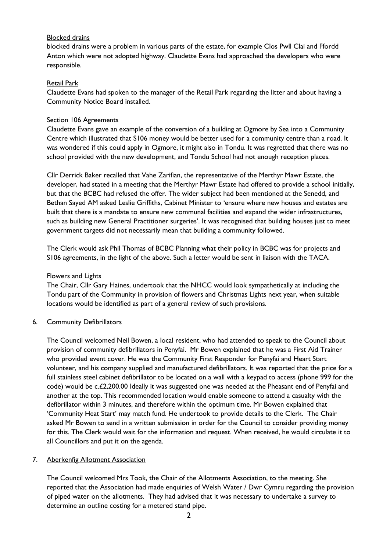# Blocked drains

blocked drains were a problem in various parts of the estate, for example Clos Pwll Clai and Ffordd Anton which were not adopted highway. Claudette Evans had approached the developers who were responsible.

## Retail Park

Claudette Evans had spoken to the manager of the Retail Park regarding the litter and about having a Community Notice Board installed.

## Section 106 Agreements

Claudette Evans gave an example of the conversion of a building at Ogmore by Sea into a Community Centre which illustrated that S106 money would be better used for a community centre than a road. It was wondered if this could apply in Ogmore, it might also in Tondu. It was regretted that there was no school provided with the new development, and Tondu School had not enough reception places.

Cllr Derrick Baker recalled that Vahe Zarifian, the representative of the Merthyr Mawr Estate, the developer, had stated in a meeting that the Merthyr Mawr Estate had offered to provide a school initially, but that the BCBC had refused the offer. The wider subject had been mentioned at the Senedd, and Bethan Sayed AM asked Leslie Griffiths, Cabinet Minister to 'ensure where new houses and estates are built that there is a mandate to ensure new communal facilities and expand the wider infrastructures, such as building new General Practitioner surgeries'. It was recognised that building houses just to meet government targets did not necessarily mean that building a community followed.

The Clerk would ask Phil Thomas of BCBC Planning what their policy in BCBC was for projects and S106 agreements, in the light of the above. Such a letter would be sent in liaison with the TACA.

### Flowers and Lights

The Chair, Cllr Gary Haines, undertook that the NHCC would look sympathetically at including the Tondu part of the Community in provision of flowers and Christmas Lights next year, when suitable locations would be identified as part of a general review of such provisions.

### 6. Community Defibrillators

The Council welcomed Neil Bowen, a local resident, who had attended to speak to the Council about provision of community defibrillators in Penyfai. Mr Bowen explained that he was a First Aid Trainer who provided event cover. He was the Community First Responder for Penyfai and Heart Start volunteer, and his company supplied and manufactured defibrillators. It was reported that the price for a full stainless steel cabinet defibrillator to be located on a wall with a keypad to access (phone 999 for the code) would be c.£2,200.00 Ideally it was suggested one was needed at the Pheasant end of Penyfai and another at the top. This recommended location would enable someone to attend a casualty with the defibrillator within 3 minutes, and therefore within the optimum time. Mr Bowen explained that 'Community Heat Start' may match fund. He undertook to provide details to the Clerk. The Chair asked Mr Bowen to send in a written submission in order for the Council to consider providing money for this. The Clerk would wait for the information and request. When received, he would circulate it to all Councillors and put it on the agenda.

# 7. Aberkenfig Allotment Association

The Council welcomed Mrs Took, the Chair of the Allotments Association, to the meeting. She reported that the Association had made enquiries of Welsh Water / Dwr Cymru regarding the provision of piped water on the allotments. They had advised that it was necessary to undertake a survey to determine an outline costing for a metered stand pipe.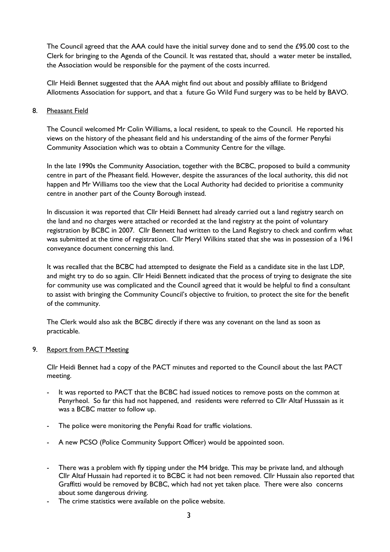The Council agreed that the AAA could have the initial survey done and to send the £95.00 cost to the Clerk for bringing to the Agenda of the Council. It was restated that, should a water meter be installed, the Association would be responsible for the payment of the costs incurred.

Cllr Heidi Bennet suggested that the AAA might find out about and possibly affiliate to Bridgend Allotments Association for support, and that a future Go Wild Fund surgery was to be held by BAVO.

## 8. Pheasant Field

The Council welcomed Mr Colin Williams, a local resident, to speak to the Council. He reported his views on the history of the pheasant field and his understanding of the aims of the former Penyfai Community Association which was to obtain a Community Centre for the village.

In the late 1990s the Community Association, together with the BCBC, proposed to build a community centre in part of the Pheasant field. However, despite the assurances of the local authority, this did not happen and Mr Williams too the view that the Local Authority had decided to prioritise a community centre in another part of the County Borough instead.

In discussion it was reported that Cllr Heidi Bennett had already carried out a land registry search on the land and no charges were attached or recorded at the land registry at the point of voluntary registration by BCBC in 2007. Cllr Bennett had written to the Land Registry to check and confirm what was submitted at the time of registration. Cllr Meryl Wilkins stated that she was in possession of a 1961 conveyance document concerning this land.

It was recalled that the BCBC had attempted to designate the Field as a candidate site in the last LDP, and might try to do so again. Cllr Heidi Bennett indicated that the process of trying to designate the site for community use was complicated and the Council agreed that it would be helpful to find a consultant to assist with bringing the Community Council's objective to fruition, to protect the site for the benefit of the community.

The Clerk would also ask the BCBC directly if there was any covenant on the land as soon as practicable.

### 9. Report from PACT Meeting

Cllr Heidi Bennet had a copy of the PACT minutes and reported to the Council about the last PACT meeting.

- It was reported to PACT that the BCBC had issued notices to remove posts on the common at Penyrheol. So far this had not happened, and residents were referred to Cllr Altaf Husssain as it was a BCBC matter to follow up.
- The police were monitoring the Penyfai Road for traffic violations.
- A new PCSO (Police Community Support Officer) would be appointed soon.
- There was a problem with fly tipping under the M4 bridge. This may be private land, and although Cllr Altaf Hussain had reported it to BCBC it had not been removed. Cllr Hussain also reported that Graffitti would be removed by BCBC, which had not yet taken place. There were also concerns about some dangerous driving.
- The crime statistics were available on the police website.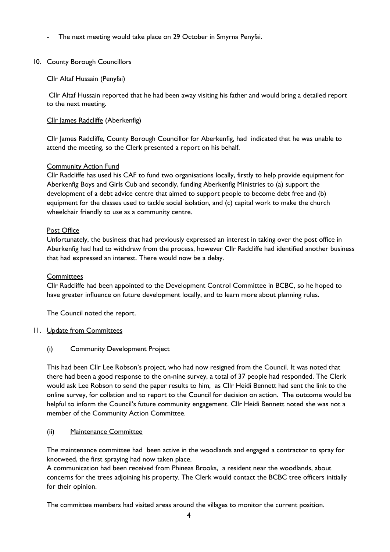The next meeting would take place on 29 October in Smyrna Penyfai.

# 10. County Borough Councillors

# Cllr Altaf Hussain (Penyfai)

Cllr Altaf Hussain reported that he had been away visiting his father and would bring a detailed report to the next meeting.

# Cllr James Radcliffe (Aberkenfig)

Cllr James Radcliffe, County Borough Councillor for Aberkenfig, had indicated that he was unable to attend the meeting, so the Clerk presented a report on his behalf.

# Community Action Fund

Cllr Radcliffe has used his CAF to fund two organisations locally, firstly to help provide equipment for Aberkenfig Boys and Girls Cub and secondly, funding Aberkenfig Ministries to (a) support the development of a debt advice centre that aimed to support people to become debt free and (b) equipment for the classes used to tackle social isolation, and (c) capital work to make the church wheelchair friendly to use as a community centre.

# Post Office

Unfortunately, the business that had previously expressed an interest in taking over the post office in Aberkenfig had had to withdraw from the process, however Cllr Radcliffe had identified another business that had expressed an interest. There would now be a delay.

## **Committees**

Cllr Radcliffe had been appointed to the Development Control Committee in BCBC, so he hoped to have greater influence on future development locally, and to learn more about planning rules.

The Council noted the report.

### 11. Update from Committees

# (i) Community Development Project

This had been Cllr Lee Robson's project, who had now resigned from the Council. It was noted that there had been a good response to the on-nine survey, a total of 37 people had responded. The Clerk would ask Lee Robson to send the paper results to him, as Cllr Heidi Bennett had sent the link to the online survey, for collation and to report to the Council for decision on action. The outcome would be helpful to inform the Council's future community engagement. Cllr Heidi Bennett noted she was not a member of the Community Action Committee.

### (ii) Maintenance Committee

The maintenance committee had been active in the woodlands and engaged a contractor to spray for knotweed, the first spraying had now taken place.

A communication had been received from Phineas Brooks, a resident near the woodlands, about concerns for the trees adjoining his property. The Clerk would contact the BCBC tree officers initially for their opinion.

The committee members had visited areas around the villages to monitor the current position.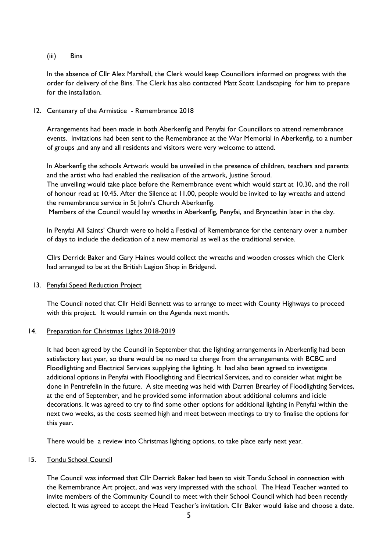## (iii) Bins

In the absence of Cllr Alex Marshall, the Clerk would keep Councillors informed on progress with the order for delivery of the Bins. The Clerk has also contacted Matt Scott Landscaping for him to prepare for the installation.

## 12. Centenary of the Armistice - Remembrance 2018

Arrangements had been made in both Aberkenfig and Penyfai for Councillors to attend remembrance events. Invitations had been sent to the Remembrance at the War Memorial in Aberkenfig, to a number of groups ,and any and all residents and visitors were very welcome to attend.

In Aberkenfig the schools Artwork would be unveiled in the presence of children, teachers and parents and the artist who had enabled the realisation of the artwork, Justine Stroud.

The unveiling would take place before the Remembrance event which would start at 10.30, and the roll of honour read at 10.45. After the Silence at 11.00, people would be invited to lay wreaths and attend the remembrance service in St John's Church Aberkenfig.

Members of the Council would lay wreaths in Aberkenfig, Penyfai, and Bryncethin later in the day.

In Penyfai All Saints' Church were to hold a Festival of Remembrance for the centenary over a number of days to include the dedication of a new memorial as well as the traditional service.

Cllrs Derrick Baker and Gary Haines would collect the wreaths and wooden crosses which the Clerk had arranged to be at the British Legion Shop in Bridgend.

### 13. Penyfai Speed Reduction Project

The Council noted that Cllr Heidi Bennett was to arrange to meet with County Highways to proceed with this project. It would remain on the Agenda next month.

### 14. Preparation for Christmas Lights 2018-2019

It had been agreed by the Council in September that the lighting arrangements in Aberkenfig had been satisfactory last year, so there would be no need to change from the arrangements with BCBC and Floodlighting and Electrical Services supplying the lighting. It had also been agreed to investigate additional options in Penyfai with Floodlighting and Electrical Services, and to consider what might be done in Pentrefelin in the future. A site meeting was held with Darren Brearley of Floodlighting Services, at the end of September, and he provided some information about additional columns and icicle decorations. It was agreed to try to find some other options for additional lighting in Penyfai within the next two weeks, as the costs seemed high and meet between meetings to try to finalise the options for this year.

There would be a review into Christmas lighting options, to take place early next year.

### 15. Tondu School Council

The Council was informed that Cllr Derrick Baker had been to visit Tondu School in connection with the Remembrance Art project, and was very impressed with the school. The Head Teacher wanted to invite members of the Community Council to meet with their School Council which had been recently elected. It was agreed to accept the Head Teacher's invitation. Cllr Baker would liaise and choose a date.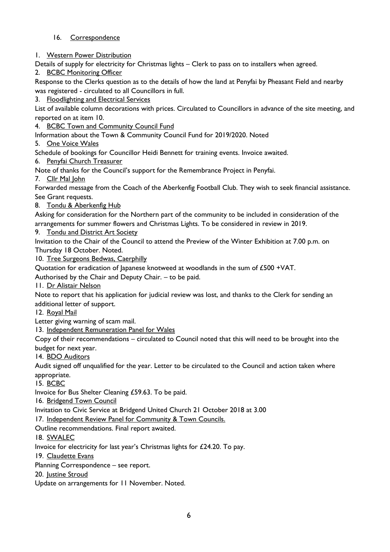# 16. Correspondence

1. Western Power Distribution

Details of supply for electricity for Christmas lights – Clerk to pass on to installers when agreed.

2. BCBC Monitoring Officer

Response to the Clerks question as to the details of how the land at Penyfai by Pheasant Field and nearby was registered - circulated to all Councillors in full.

3. Floodlighting and Electrical Services

List of available column decorations with prices. Circulated to Councillors in advance of the site meeting, and reported on at item 10.

4. BCBC Town and Community Council Fund

Information about the Town & Community Council Fund for 2019/2020. Noted

5. One Voice Wales

Schedule of bookings for Councillor Heidi Bennett for training events. Invoice awaited.

6. Penyfai Church Treasurer

Note of thanks for the Council's support for the Remembrance Project in Penyfai.

7. Cllr Mal John

Forwarded message from the Coach of the Aberkenfig Football Club. They wish to seek financial assistance. See Grant requests.

8. Tondu & Aberkenfig Hub

Asking for consideration for the Northern part of the community to be included in consideration of the arrangements for summer flowers and Christmas Lights. To be considered in review in 2019.

9. Tondu and District Art Society

Invitation to the Chair of the Council to attend the Preview of the Winter Exhibition at 7.00 p.m. on Thursday 18 October. Noted.

10. Tree Surgeons Bedwas, Caerphilly

Quotation for eradication of Japanese knotweed at woodlands in the sum of  $£500 + VAT$ .

Authorised by the Chair and Deputy Chair. – to be paid.

11. Dr Alistair Nelson

Note to report that his application for judicial review was lost, and thanks to the Clerk for sending an additional letter of support.

12. Royal Mail

Letter giving warning of scam mail.

13. Independent Remuneration Panel for Wales

Copy of their recommendations – circulated to Council noted that this will need to be brought into the budget for next year.

14. BDO Auditors

Audit signed off unqualified for the year. Letter to be circulated to the Council and action taken where appropriate.

15. BCBC

Invoice for Bus Shelter Cleaning £59.63. To be paid.

16. Bridgend Town Council

Invitation to Civic Service at Bridgend United Church 21 October 2018 at 3.00

17. Independent Review Panel for Community & Town Councils.

Outline recommendations. Final report awaited.

18. SWALEC

Invoice for electricity for last year's Christmas lights for £24.20. To pay.

19. Claudette Evans

Planning Correspondence – see report.

20. Justine Stroud

Update on arrangements for 11 November. Noted.